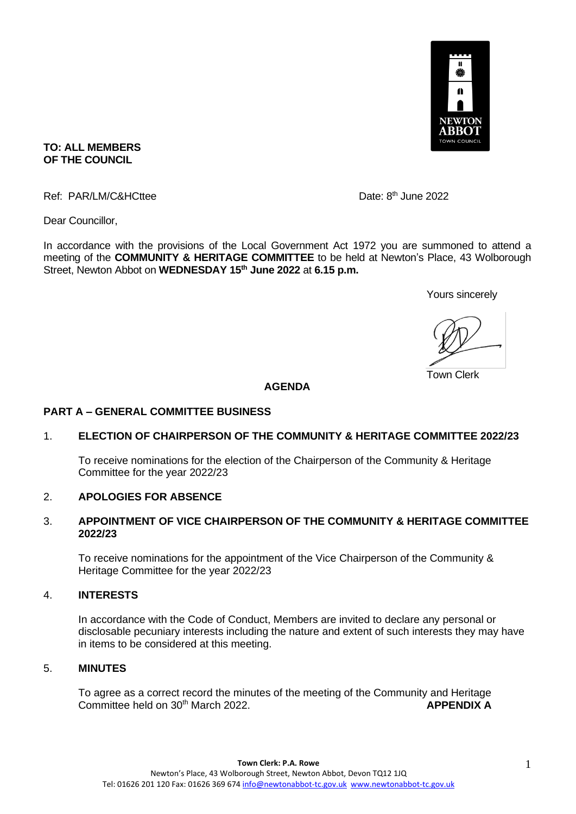

## **TO: ALL MEMBERS OF THE COUNCIL**

Ref: PAR/LM/C&HCttee

Date:  $8<sup>th</sup>$  June 2022

Dear Councillor,

In accordance with the provisions of the Local Government Act 1972 you are summoned to attend a meeting of the **COMMUNITY & HERITAGE COMMITTEE** to be held at Newton's Place, 43 Wolborough Street, Newton Abbot on **WEDNESDAY 15th June 2022** at **6.15 p.m.** 

Yours sincerely

Town Clerk

## **AGENDA**

#### **PART A – GENERAL COMMITTEE BUSINESS**

## 1. **ELECTION OF CHAIRPERSON OF THE COMMUNITY & HERITAGE COMMITTEE 2022/23**

To receive nominations for the election of the Chairperson of the Community & Heritage Committee for the year 2022/23

#### 2. **APOLOGIES FOR ABSENCE**

#### 3. **APPOINTMENT OF VICE CHAIRPERSON OF THE COMMUNITY & HERITAGE COMMITTEE 2022/23**

To receive nominations for the appointment of the Vice Chairperson of the Community & Heritage Committee for the year 2022/23

#### 4. **INTERESTS**

In accordance with the Code of Conduct, Members are invited to declare any personal or disclosable pecuniary interests including the nature and extent of such interests they may have in items to be considered at this meeting.

#### 5. **MINUTES**

To agree as a correct record the minutes of the meeting of the Community and Heritage Committee held on 30th March 2022. **APPENDIX A**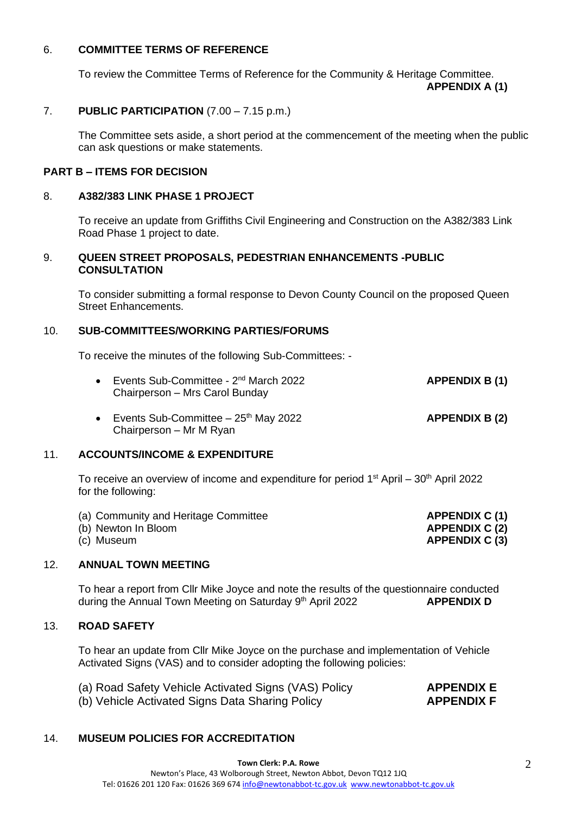## 6. **COMMITTEE TERMS OF REFERENCE**

To review the Committee Terms of Reference for the Community & Heritage Committee. **APPENDIX A (1)**

## 7. **PUBLIC PARTICIPATION** (7.00 – 7.15 p.m.)

The Committee sets aside, a short period at the commencement of the meeting when the public can ask questions or make statements.

## **PART B – ITEMS FOR DECISION**

## 8. **A382/383 LINK PHASE 1 PROJECT**

To receive an update from Griffiths Civil Engineering and Construction on the A382/383 Link Road Phase 1 project to date.

#### 9. **QUEEN STREET PROPOSALS, PEDESTRIAN ENHANCEMENTS -PUBLIC CONSULTATION**

To consider submitting a formal response to Devon County Council on the proposed Queen Street Enhancements.

## 10. **SUB-COMMITTEES/WORKING PARTIES/FORUMS**

To receive the minutes of the following Sub-Committees: -

| • Events Sub-Committee - $2nd$ March 2022 | <b>APPENDIX B (1)</b> |
|-------------------------------------------|-----------------------|
| Chairperson - Mrs Carol Bunday            |                       |
|                                           |                       |

• Events Sub-Committee – 25th May 2022 **APPENDIX B (2)** Chairperson – Mr M Ryan

# 11. **ACCOUNTS/INCOME & EXPENDITURE**

To receive an overview of income and expenditure for period 1<sup>st</sup> April – 30<sup>th</sup> April 2022 for the following:

- (a) Community and Heritage Committee **APPENDIX C (1)**
- (b) Newton In Bloom **APPENDIX C (2)**
- (c) Museum **APPENDIX C (3)**

## 12. **ANNUAL TOWN MEETING**

To hear a report from Cllr Mike Joyce and note the results of the questionnaire conducted during the Annual Town Meeting on Saturday 9th April 2022 **APPENDIX D**

## 13. **ROAD SAFETY**

To hear an update from Cllr Mike Joyce on the purchase and implementation of Vehicle Activated Signs (VAS) and to consider adopting the following policies:

- (a) Road Safety Vehicle Activated Signs (VAS) Policy **APPENDIX E**
- (b) Vehicle Activated Signs Data Sharing Policy **APPENDIX F**

# 14. **MUSEUM POLICIES FOR ACCREDITATION**